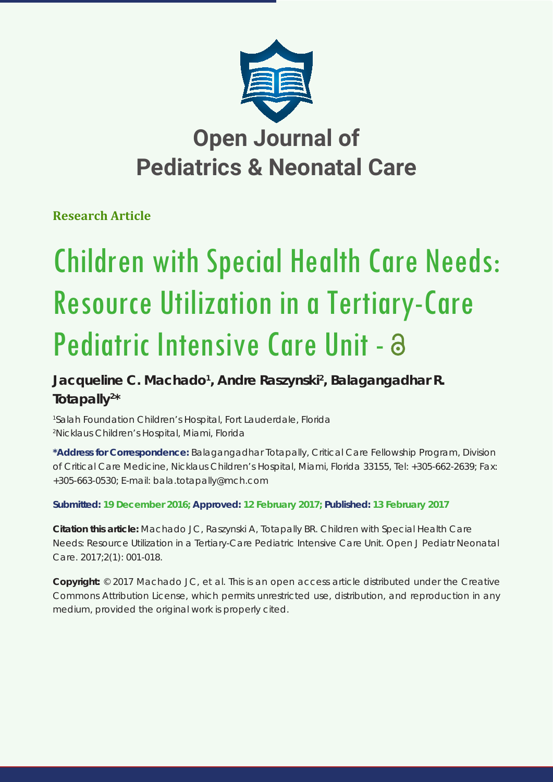

# **Open Journal of Pediatrics & Neonatal Care**

## **Research Article**

# Children with Special Health Care Needs: Resource Utilization in a Tertiary-Care Pediatric Intensive Care Unit - a

## **Jacqueline C. Machado1 , Andre Raszynski2 , Balagangadhar R. Totapally2 \***

*1 Salah Foundation Children's Hospital, Fort Lauderdale, Florida 2 Nicklaus Children's Hospital, Miami, Florida*

**\*Address for Correspondence:** Balagangadhar Totapally, Critical Care Fellowship Program, Division of Critical Care Medicine, Nicklaus Children's Hospital, Miami, Florida 33155, Tel: +305-662-2639; Fax: +305-663-0530; E-mail: bala.totapally@mch.com

### **Submitted: 19 December 2016; Approved: 12 February 2017; Published: 13 February 2017**

**Citation this article:** Machado JC, Raszynski A, Totapally BR. Children with Special Health Care Needs: Resource Utilization in a Tertiary-Care Pediatric Intensive Care Unit. Open J Pediatr Neonatal Care. 2017;2(1): 001-018.

**Copyright:** © 2017 Machado JC, et al. This is an open access article distributed under the Creative Commons Attribution License, which permits unrestricted use, distribution, and reproduction in any medium, provided the original work is properly cited.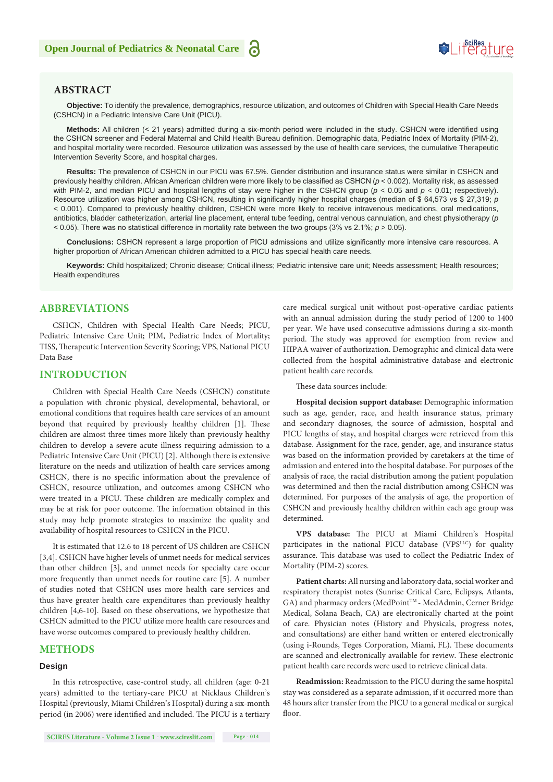# **SeiRes** ture

#### **ABSTRACT**

**Objective:** To identify the prevalence, demographics, resource utilization, and outcomes of Children with Special Health Care Needs (CSHCN) in a Pediatric Intensive Care Unit (PICU).

**Methods:** All children (< 21 years) admitted during a six-month period were included in the study. CSHCN were identified using the CSHCN screener and Federal Maternal and Child Health Bureau definition. Demographic data, Pediatric Index of Mortality (PIM-2), and hospital mortality were recorded. Resource utilization was assessed by the use of health care services, the cumulative Therapeutic Intervention Severity Score, and hospital charges.

**Results:** The prevalence of CSHCN in our PICU was 67.5%. Gender distribution and insurance status were similar in CSHCN and previously healthy children. African American children were more likely to be classified as CSHCN (*p* < 0.002). Mortality risk, as assessed with PIM-2, and median PICU and hospital lengths of stay were higher in the CSHCN group (*p* < 0.05 and *p* < 0.01; respectively). Resource utilization was higher among CSHCN, resulting in significantly higher hospital charges (median of \$ 64,573 vs \$ 27,319; *p*  < 0.001). Compared to previously healthy children, CSHCN were more likely to receive intravenous medications, oral medications, antibiotics, bladder catheterization, arterial line placement, enteral tube feeding, central venous cannulation, and chest physiotherapy (*p* < 0.05). There was no statistical difference in mortality rate between the two groups (3% vs 2.1%; *p* > 0.05).

**Conclusions:** CSHCN represent a large proportion of PICU admissions and utilize significantly more intensive care resources. A higher proportion of African American children admitted to a PICU has special health care needs.

**Keywords:** Child hospitalized; Chronic disease; Critical illness; Pediatric intensive care unit; Needs assessment; Health resources; Health expenditures

#### **ABBREVIATIONS**

CSHCN, Children with Special Health Care Needs; PICU, Pediatric Intensive Care Unit; PIM, Pediatric Index of Mortality; TISS, Therapeutic Intervention Severity Scoring; VPS, National PICU Data Base

#### **INTRODUCTION**

Children with Special Health Care Needs (CSHCN) constitute a population with chronic physical, developmental, behavioral, or emotional conditions that requires health care services of an amount beyond that required by previously healthy children [1]. These children are almost three times more likely than previously healthy children to develop a severe acute illness requiring admission to a Pediatric Intensive Care Unit (PICU) [2]. Although there is extensive literature on the needs and utilization of health care services among CSHCN, there is no specific information about the prevalence of CSHCN, resource utilization, and outcomes among CSHCN who were treated in a PICU. These children are medically complex and may be at risk for poor outcome. The information obtained in this study may help promote strategies to maximize the quality and availability of hospital resources to CSHCN in the PICU.

It is estimated that 12.6 to 18 percent of US children are CSHCN [3,4]. CSHCN have higher levels of unmet needs for medical services than other children [3], and unmet needs for specialty care occur more frequently than unmet needs for routine care [5]. A number of studies noted that CSHCN uses more health care services and thus have greater health care expenditures than previously healthy children [4,6-10]. Based on these observations, we hypothesize that CSHCN admitted to the PICU utilize more health care resources and have worse outcomes compared to previously healthy children.

#### **METHODS**

#### **Design**

In this retrospective, case-control study, all children (age: 0-21 years) admitted to the tertiary-care PICU at Nicklaus Children's Hospital (previously, Miami Children's Hospital) during a six-month period (in 2006) were identified and included. The PICU is a tertiary

care medical surgical unit without post-operative cardiac patients with an annual admission during the study period of 1200 to 1400 per year. We have used consecutive admissions during a six-month period. The study was approved for exemption from review and HIPAA waiver of authorization. Demographic and clinical data were collected from the hospital administrative database and electronic patient health care records.

These data sources include:

**Hospital decision support database:** Demographic information such as age, gender, race, and health insurance status, primary and secondary diagnoses, the source of admission, hospital and PICU lengths of stay, and hospital charges were retrieved from this database. Assignment for the race, gender, age, and insurance status was based on the information provided by caretakers at the time of admission and entered into the hospital database. For purposes of the analysis of race, the racial distribution among the patient population was determined and then the racial distribution among CSHCN was determined. For purposes of the analysis of age, the proportion of CSHCN and previously healthy children within each age group was determined.

**VPS database:** The PICU at Miami Children's Hospital participates in the national PICU database (VPSLLC) for quality assurance. This database was used to collect the Pediatric Index of Mortality (PIM-2) scores.

**Patient charts:** All nursing and laboratory data, social worker and respiratory therapist notes (Sunrise Critical Care, Eclipsys, Atlanta, GA) and pharmacy orders (MedPoint<sup>TM</sup> - MedAdmin, Cerner Bridge Medical, Solana Beach, CA) are electronically charted at the point of care. Physician notes (History and Physicals, progress notes, and consultations) are either hand written or entered electronically (using i-Rounds, Teges Corporation, Miami, FL). These documents are scanned and electronically available for review. These electronic patient health care records were used to retrieve clinical data.

**Readmission:** Readmission to the PICU during the same hospital stay was considered as a separate admission, if it occurred more than 48 hours after transfer from the PICU to a general medical or surgical floor.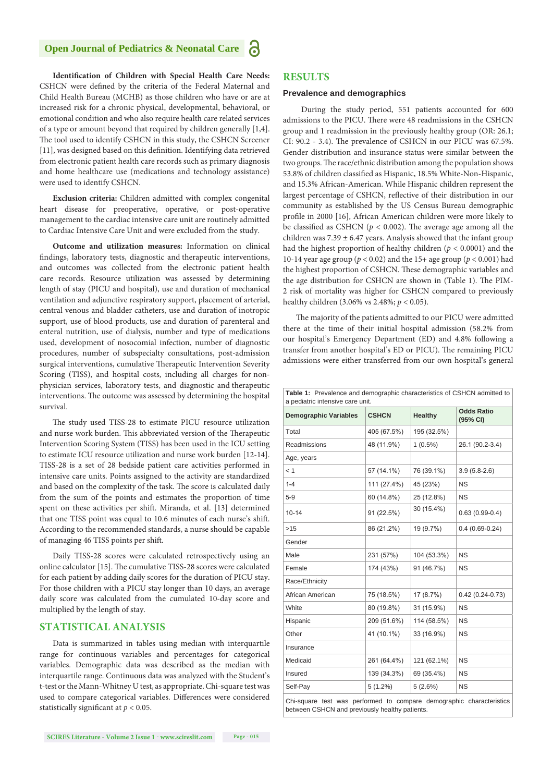#### **Open Journal of Pediatrics & Neonatal Care**



**Exclusion criteria:** Children admitted with complex congenital heart disease for preoperative, operative, or post-operative management to the cardiac intensive care unit are routinely admitted to Cardiac Intensive Care Unit and were excluded from the study.

**Outcome and utilization measures:** Information on clinical findings, laboratory tests, diagnostic and therapeutic interventions, and outcomes was collected from the electronic patient health care records. Resource utilization was assessed by determining length of stay (PICU and hospital), use and duration of mechanical ventilation and adjunctive respiratory support, placement of arterial, central venous and bladder catheters, use and duration of inotropic support, use of blood products, use and duration of parenteral and enteral nutrition, use of dialysis, number and type of medications used, development of nosocomial infection, number of diagnostic procedures, number of subspecialty consultations, post-admission surgical interventions, cumulative Therapeutic Intervention Severity Scoring (TISS), and hospital costs, including all charges for nonphysician services, laboratory tests, and diagnostic and therapeutic interventions. The outcome was assessed by determining the hospital survival.

The study used TISS-28 to estimate PICU resource utilization and nurse work burden. This abbreviated version of the Therapeutic Intervention Scoring System (TISS) has been used in the ICU setting to estimate ICU resource utilization and nurse work burden [12-14]. TISS-28 is a set of 28 bedside patient care activities performed in intensive care units. Points assigned to the activity are standardized and based on the complexity of the task. The score is calculated daily from the sum of the points and estimates the proportion of time spent on these activities per shift. Miranda, et al. [13] determined that one TISS point was equal to 10.6 minutes of each nurse's shift. According to the recommended standards, a nurse should be capable of managing 46 TISS points per shift.

Daily TISS-28 scores were calculated retrospectively using an online calculator [15]. The cumulative TISS-28 scores were calculated for each patient by adding daily scores for the duration of PICU stay. For those children with a PICU stay longer than 10 days, an average daily score was calculated from the cumulated 10-day score and multiplied by the length of stay.

#### **STATISTICAL ANALYSIS**

Data is summarized in tables using median with interquartile range for continuous variables and percentages for categorical variables. Demographic data was described as the median with interquartile range. Continuous data was analyzed with the Student's t-test or the Mann-Whitney U test, as appropriate. Chi-square test was used to compare categorical variables. Differences were considered statistically significant at *p* < 0.05.

#### **RESULTS**

а

#### **Prevalence and demographics**

 During the study period, 551 patients accounted for 600 admissions to the PICU. There were 48 readmissions in the CSHCN group and 1 readmission in the previously healthy group (OR: 26.1; CI: 90.2 - 3.4). The prevalence of CSHCN in our PICU was 67.5%. Gender distribution and insurance status were similar between the two groups. The race/ethnic distribution among the population shows 53.8% of children classified as Hispanic, 18.5% White-Non-Hispanic, and 15.3% African-American. While Hispanic children represent the largest percentage of CSHCN, reflective of their distribution in our community as established by the US Census Bureau demographic profile in 2000 [16], African American children were more likely to be classified as CSHCN ( $p < 0.002$ ). The average age among all the children was  $7.39 \pm 6.47$  years. Analysis showed that the infant group had the highest proportion of healthy children (*p* < 0.0001) and the 10-14 year age group (*p* < 0.02) and the 15+ age group (*p* < 0.001) had the highest proportion of CSHCN. These demographic variables and the age distribution for CSHCN are shown in (Table 1). The PIM-2 risk of mortality was higher for CSHCN compared to previously healthy children (3.06% vs 2.48%; *p* < 0.05).

The majority of the patients admitted to our PICU were admitted there at the time of their initial hospital admission (58.2% from our hospital's Emergency Department (ED) and 4.8% following a transfer from another hospital's ED or PICU). The remaining PICU admissions were either transferred from our own hospital's general

| Table 1: Prevalence and demographic characteristics of CSHCN admitted to<br>a pediatric intensive care unit. |              |                |                               |  |  |
|--------------------------------------------------------------------------------------------------------------|--------------|----------------|-------------------------------|--|--|
| <b>Demographic Variables</b>                                                                                 | <b>CSHCN</b> | <b>Healthy</b> | <b>Odds Ratio</b><br>(95% CI) |  |  |
| Total                                                                                                        | 405 (67.5%)  | 195 (32.5%)    |                               |  |  |
| Readmissions                                                                                                 | 48 (11.9%)   | $1(0.5\%)$     | 26.1 (90.2-3.4)               |  |  |
| Age, years                                                                                                   |              |                |                               |  |  |
| < 1                                                                                                          | 57 (14.1%)   | 76 (39.1%)     | $3.9(5.8-2.6)$                |  |  |
| $1 - 4$                                                                                                      | 111 (27.4%)  | 45 (23%)       | <b>NS</b>                     |  |  |
| $5-9$                                                                                                        | 60 (14.8%)   | 25 (12.8%)     | <b>NS</b>                     |  |  |
| $10 - 14$                                                                                                    | 91 (22.5%)   | 30 (15.4%)     | $0.63(0.99-0.4)$              |  |  |
| $>15$                                                                                                        | 86 (21.2%)   | 19 (9.7%)      | $0.4(0.69-0.24)$              |  |  |
| Gender                                                                                                       |              |                |                               |  |  |
| Male                                                                                                         | 231 (57%)    | 104 (53.3%)    | <b>NS</b>                     |  |  |
| Female                                                                                                       | 174 (43%)    | 91 (46.7%)     | <b>NS</b>                     |  |  |
| Race/Ethnicity                                                                                               |              |                |                               |  |  |
| African American                                                                                             | 75 (18.5%)   | 17 (8.7%)      | $0.42(0.24-0.73)$             |  |  |
| White                                                                                                        | 80 (19.8%)   | 31 (15.9%)     | <b>NS</b>                     |  |  |
| Hispanic                                                                                                     | 209 (51.6%)  | 114 (58.5%)    | <b>NS</b>                     |  |  |
| Other                                                                                                        | 41 (10.1%)   | 33 (16.9%)     | <b>NS</b>                     |  |  |
| Insurance                                                                                                    |              |                |                               |  |  |
| Medicaid                                                                                                     | 261 (64.4%)  | 121 (62.1%)    | <b>NS</b>                     |  |  |
| Insured                                                                                                      | 139 (34.3%)  | 69 (35.4%)     | <b>NS</b>                     |  |  |
| Self-Pay                                                                                                     | $5(1.2\%)$   | 5(2.6%)        | <b>NS</b>                     |  |  |
| Chi-square test was performed to compare demographic characteristics                                         |              |                |                               |  |  |

between CSHCN and previously healthy patients.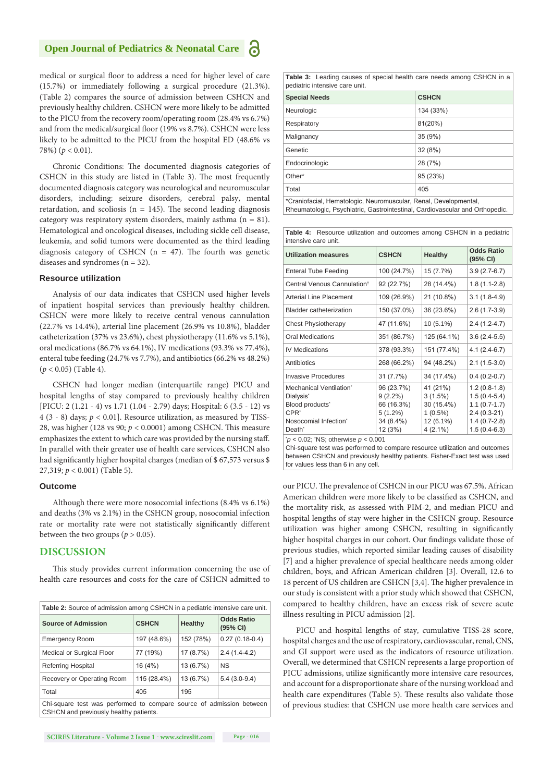#### **Open Journal of Pediatrics & Neonatal Care**



medical or surgical floor to address a need for higher level of care (15.7%) or immediately following a surgical procedure (21.3%). (Table 2) compares the source of admission between CSHCN and previously healthy children. CSHCN were more likely to be admitted to the PICU from the recovery room/operating room (28.4% vs 6.7%) and from the medical/surgical floor (19% vs 8.7%). CSHCN were less likely to be admitted to the PICU from the hospital ED (48.6% vs 78%) (*p* < 0.01).

Chronic Conditions: The documented diagnosis categories of CSHCN in this study are listed in (Table 3). The most frequently documented diagnosis category was neurological and neuromuscular disorders, including: seizure disorders, cerebral palsy, mental retardation, and scoliosis ( $n = 145$ ). The second leading diagnosis category was respiratory system disorders, mainly asthma  $(n = 81)$ . Hematological and oncological diseases, including sickle cell disease, leukemia, and solid tumors were documented as the third leading diagnosis category of CSHCN ( $n = 47$ ). The fourth was genetic diseases and syndromes ( $n = 32$ ).

#### **Resource utilization**

Analysis of our data indicates that CSHCN used higher levels of inpatient hospital services than previously healthy children. CSHCN were more likely to receive central venous cannulation (22.7% vs 14.4%), arterial line placement (26.9% vs 10.8%), bladder catheterization (37% vs 23.6%), chest physiotherapy (11.6% vs 5.1%), oral medications (86.7% vs 64.1%), IV medications (93.3% vs 77.4%), enteral tube feeding (24.7% vs 7.7%), and antibiotics (66.2% vs 48.2%) (*p* < 0.05) (Table 4).

CSHCN had longer median (interquartile range) PICU and hospital lengths of stay compared to previously healthy children [PICU: 2 (1.21 - 4) vs 1.71 (1.04 - 2.79) days; Hospital: 6 (3.5 - 12) vs 4 (3 - 8) days; *p* < 0.01]. Resource utilization, as measured by TISS-28, was higher (128 vs 90; *p* < 0.0001) among CSHCN. This measure emphasizes the extent to which care was provided by the nursing staff. In parallel with their greater use of health care services, CSHCN also had significantly higher hospital charges (median of \$ 67,573 versus \$ 27,319; *p* < 0.001) (Table 5).

#### **Outcome**

Although there were more nosocomial infections (8.4% vs 6.1%) and deaths (3% vs 2.1%) in the CSHCN group, nosocomial infection rate or mortality rate were not statistically significantly different between the two groups ( $p > 0.05$ ).

#### **DISCUSSION**

This study provides current information concerning the use of health care resources and costs for the care of CSHCN admitted to

| <b>Table 2:</b> Source of admission among CSHCN in a pediatric intensive care unit.                            |              |           |                               |  |
|----------------------------------------------------------------------------------------------------------------|--------------|-----------|-------------------------------|--|
| <b>Source of Admission</b>                                                                                     | <b>CSHCN</b> | Healthy   | <b>Odds Ratio</b><br>(95% CI) |  |
| <b>Emergency Room</b>                                                                                          | 197 (48.6%)  | 152 (78%) | $0.27(0.18-0.4)$              |  |
| Medical or Surgical Floor                                                                                      | 77 (19%)     | 17 (8.7%) | $2.4(1.4-4.2)$                |  |
| <b>Referring Hospital</b>                                                                                      | 16 (4%)      | 13 (6.7%) | <b>NS</b>                     |  |
| Recovery or Operating Room                                                                                     | 115 (28.4%)  | 13 (6.7%) | $5.4(3.0-9.4)$                |  |
| Total                                                                                                          | 405          | 195       |                               |  |
| Chi-square test was performed to compare source of admission between<br>CSHCN and previously healthy patients. |              |           |                               |  |

**Table 3:** Leading causes of special health care needs among CSHCN in a pediatric intensive care unit.

| <b>Special Needs</b> | <b>CSHCN</b> |
|----------------------|--------------|
| Neurologic           | 134 (33%)    |
| Respiratory          | 81(20%)      |
| Malignancy           | 35 (9%)      |
| Genetic              | 32 (8%)      |
| Endocrinologic       | 28 (7%)      |
| Other*               | 95 (23%)     |
| Total                | 405          |
| .                    |              |

\*Craniofacial, Hematologic, Neuromuscular, Renal, Developmental, Rheumatologic, Psychiatric, Gastrointestinal, Cardiovascular and Orthopedic.

**Table 4:** Resource utilization and outcomes among CSHCN in a pediatric intensive care unit.

| <b>Utilization measures</b>                                                                                                                                    | <b>CSHCN</b>                                                                 | Healthy                                                                       | Odds Ratio<br>(95% CI)                                                                                  |
|----------------------------------------------------------------------------------------------------------------------------------------------------------------|------------------------------------------------------------------------------|-------------------------------------------------------------------------------|---------------------------------------------------------------------------------------------------------|
| <b>Enteral Tube Feeding</b>                                                                                                                                    | 100 (24.7%)                                                                  | 15 (7.7%)                                                                     | $3.9(2.7-6.7)$                                                                                          |
| Central Venous Cannulation <sup>t</sup>                                                                                                                        | 92 (22.7%)                                                                   | 28 (14.4%)                                                                    | $1.8(1.1-2.8)$                                                                                          |
| <b>Arterial Line Placement</b>                                                                                                                                 | 109 (26.9%)                                                                  | 21 (10.8%)                                                                    | $3.1(1.8-4.9)$                                                                                          |
| <b>Bladder catheterization</b>                                                                                                                                 | 150 (37.0%)                                                                  | 36 (23.6%)                                                                    | $2.6(1.7-3.9)$                                                                                          |
| <b>Chest Physiotherapy</b>                                                                                                                                     | 47 (11.6%)                                                                   | $10(5.1\%)$                                                                   | $2.4(1.2-4.7)$                                                                                          |
| Oral Medications                                                                                                                                               | 351 (86.7%)                                                                  | 125 (64.1%)                                                                   | $3.6(2.4-5.5)$                                                                                          |
| <b>IV Medications</b>                                                                                                                                          | 378 (93.3%)                                                                  | 151 (77.4%)                                                                   | $4.1(2.4-6.7)$                                                                                          |
| Antibiotics                                                                                                                                                    | 268 (66.2%)                                                                  | 94 (48.2%)                                                                    | $2.1(1.5-3.0)$                                                                                          |
| <b>Invasive Procedures</b>                                                                                                                                     | 31 (7.7%)                                                                    | 34 (17.4%)                                                                    | $0.4(0.2-0.7)$                                                                                          |
| Mechanical Ventilation <sup>*</sup><br>Dialysis <sup>*</sup><br>Blood products'<br>CPR <sup>*</sup><br>Nosocomial Infection <sup>®</sup><br>Death <sup>*</sup> | 96 (23.7%)<br>$9(2.2\%)$<br>66 (16.3%)<br>$5(1.2\%)$<br>34 (8.4%)<br>12 (3%) | 41 (21%)<br>$3(1.5\%)$<br>30 (15.4%)<br>$1(0.5\%)$<br>12 (6.1%)<br>$4(2.1\%)$ | $1.2(0.8-1.8)$<br>$1.5(0.4-5.4)$<br>$1.1(0.7-1.7)$<br>$2.4(0.3-21)$<br>$1.4(0.7-2.8)$<br>$1.5(0.4-6.3)$ |

\* *p* < 0.02; \* NS; otherwise *p* < 0.001

Chi-square test was performed to compare resource utilization and outcomes between CSHCN and previously healthy patients. Fisher-Exact test was used for values less than 6 in any cell.

our PICU. The prevalence of CSHCN in our PICU was 67.5%. African American children were more likely to be classified as CSHCN, and the mortality risk, as assessed with PIM-2, and median PICU and hospital lengths of stay were higher in the CSHCN group. Resource utilization was higher among CSHCN, resulting in significantly higher hospital charges in our cohort. Our findings validate those of previous studies, which reported similar leading causes of disability [7] and a higher prevalence of special healthcare needs among older children, boys, and African American children [3]. Overall, 12.6 to 18 percent of US children are CSHCN [3,4]. The higher prevalence in our study is consistent with a prior study which showed that CSHCN, compared to healthy children, have an excess risk of severe acute illness resulting in PICU admission [2].

PICU and hospital lengths of stay, cumulative TISS-28 score, hospital charges and the use of respiratory, cardiovascular, renal, CNS, and GI support were used as the indicators of resource utilization. Overall, we determined that CSHCN represents a large proportion of PICU admissions, utilize significantly more intensive care resources, and account for a disproportionate share of the nursing workload and health care expenditures (Table 5). These results also validate those of previous studies: that CSHCN use more health care services and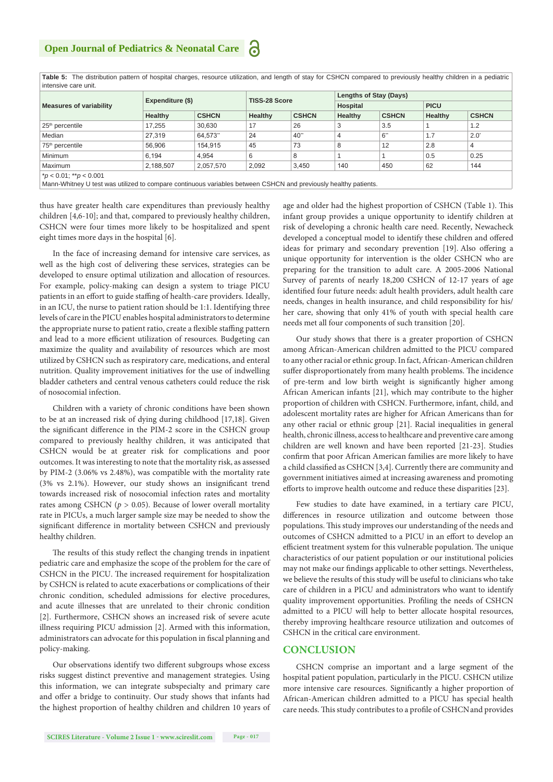| <b>Measures of variability</b>                                                                                                                 |           | Expenditure (\$) |         | TISS-28 Score |         | Lengths of Stay (Days) |         |               |  |
|------------------------------------------------------------------------------------------------------------------------------------------------|-----------|------------------|---------|---------------|---------|------------------------|---------|---------------|--|
|                                                                                                                                                |           |                  |         |               |         | Hospital               |         | <b>PICU</b>   |  |
|                                                                                                                                                | Healthy   | <b>CSHCN</b>     | Healthy | <b>CSHCN</b>  | Healthy | <b>CSHCN</b>           | Healthy | <b>CSHCN</b>  |  |
| $25th$ percentile                                                                                                                              | 17.255    | 30.630           | 17      | 26            | 3       | 3.5                    |         | 1.2           |  |
| Median                                                                                                                                         | 27.319    | 64.573"          | 24      | 40"           | 4       | 6"                     | 1.7     | $2.0^{\circ}$ |  |
| 75 <sup>th</sup> percentile                                                                                                                    | 56.906    | 154,915          | 45      | 73            | 8       | 12                     | 2.8     | 4             |  |
| <b>Minimum</b>                                                                                                                                 | 6.194     | 4.954            | 6       | 8             |         |                        | 0.5     | 0.25          |  |
| Maximum                                                                                                                                        | 2.188.507 | 2,057,570        | 2.092   | 3.450         | 140     | 450                    | 62      | 144           |  |
| $p < 0.01$ ; ** $p < 0.001$<br>Mann-Whitney U test was utilized to compare continuous variables between CSHCN and previously healthy patients. |           |                  |         |               |         |                        |         |               |  |

**Table 5:** The distribution pattern of hospital charges, resource utilization, and length of stay for CSHCN compared to previously healthy children in a pediatric intensive care unit.

thus have greater health care expenditures than previously healthy children [4,6-10]; and that, compared to previously healthy children, CSHCN were four times more likely to be hospitalized and spent eight times more days in the hospital [6].

In the face of increasing demand for intensive care services, as well as the high cost of delivering these services, strategies can be developed to ensure optimal utilization and allocation of resources. For example, policy-making can design a system to triage PICU patients in an effort to guide staffing of health-care providers. Ideally, in an ICU, the nurse to patient ration should be 1:1. Identifying three levels of care in the PICU enables hospital administrators to determine the appropriate nurse to patient ratio, create a flexible staffing pattern and lead to a more efficient utilization of resources. Budgeting can maximize the quality and availability of resources which are most utilized by CSHCN such as respiratory care, medications, and enteral nutrition. Quality improvement initiatives for the use of indwelling bladder catheters and central venous catheters could reduce the risk of nosocomial infection.

Children with a variety of chronic conditions have been shown to be at an increased risk of dying during childhood [17,18]. Given the significant difference in the PIM-2 score in the CSHCN group compared to previously healthy children, it was anticipated that CSHCN would be at greater risk for complications and poor outcomes. It was interesting to note that the mortality risk, as assessed by PIM-2 (3.06% vs 2.48%), was compatible with the mortality rate (3% vs 2.1%). However, our study shows an insignificant trend towards increased risk of nosocomial infection rates and mortality rates among CSHCN ( $p > 0.05$ ). Because of lower overall mortality rate in PICUs, a much larger sample size may be needed to show the significant difference in mortality between CSHCN and previously healthy children.

The results of this study reflect the changing trends in inpatient pediatric care and emphasize the scope of the problem for the care of CSHCN in the PICU. The increased requirement for hospitalization by CSHCN is related to acute exacerbations or complications of their chronic condition, scheduled admissions for elective procedures, and acute illnesses that are unrelated to their chronic condition [2]. Furthermore, CSHCN shows an increased risk of severe acute illness requiring PICU admission [2]. Armed with this information, administrators can advocate for this population in fiscal planning and policy-making.

Our observations identify two different subgroups whose excess risks suggest distinct preventive and management strategies. Using this information, we can integrate subspecialty and primary care and offer a bridge to continuity. Our study shows that infants had the highest proportion of healthy children and children 10 years of

age and older had the highest proportion of CSHCN (Table 1). This infant group provides a unique opportunity to identify children at risk of developing a chronic health care need. Recently, Newacheck developed a conceptual model to identify these children and offered ideas for primary and secondary prevention [19]. Also offering a unique opportunity for intervention is the older CSHCN who are preparing for the transition to adult care. A 2005-2006 National Survey of parents of nearly 18,200 CSHCN of 12-17 years of age identified four future needs: adult health providers, adult health care needs, changes in health insurance, and child responsibility for his/ her care, showing that only 41% of youth with special health care needs met all four components of such transition [20].

Our study shows that there is a greater proportion of CSHCN among African-American children admitted to the PICU compared to any other racial or ethnic group. In fact, African-American children suffer disproportionately from many health problems. The incidence of pre-term and low birth weight is significantly higher among African American infants [21], which may contribute to the higher proportion of children with CSHCN. Furthermore, infant, child, and adolescent mortality rates are higher for African Americans than for any other racial or ethnic group [21]. Racial inequalities in general health, chronic illness, access to healthcare and preventive care among children are well known and have been reported [21-23]. Studies confirm that poor African American families are more likely to have a child classified as CSHCN [3,4]. Currently there are community and government initiatives aimed at increasing awareness and promoting efforts to improve health outcome and reduce these disparities [23].

Few studies to date have examined, in a tertiary care PICU, differences in resource utilization and outcome between those populations. This study improves our understanding of the needs and outcomes of CSHCN admitted to a PICU in an effort to develop an efficient treatment system for this vulnerable population. The unique characteristics of our patient population or our institutional policies may not make our findings applicable to other settings. Nevertheless, we believe the results of this study will be useful to clinicians who take care of children in a PICU and administrators who want to identify quality improvement opportunities. Profiling the needs of CSHCN admitted to a PICU will help to better allocate hospital resources, thereby improving healthcare resource utilization and outcomes of CSHCN in the critical care environment.

#### **CONCLUSION**

CSHCN comprise an important and a large segment of the hospital patient population, particularly in the PICU. CSHCN utilize more intensive care resources. Significantly a higher proportion of African-American children admitted to a PICU has special health care needs. This study contributes to a profile of CSHCN and provides